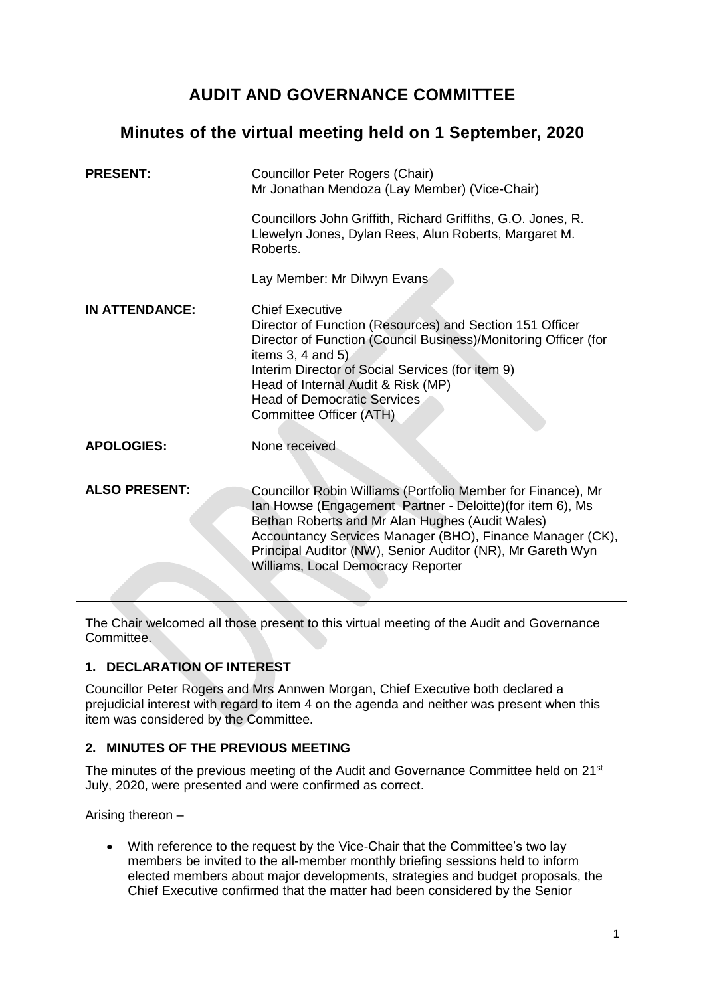# **AUDIT AND GOVERNANCE COMMITTEE**

# **Minutes of the virtual meeting held on 1 September, 2020**

| <b>PRESENT:</b>       | <b>Councillor Peter Rogers (Chair)</b><br>Mr Jonathan Mendoza (Lay Member) (Vice-Chair)                                                                                                                                                                                                                                                       |
|-----------------------|-----------------------------------------------------------------------------------------------------------------------------------------------------------------------------------------------------------------------------------------------------------------------------------------------------------------------------------------------|
|                       | Councillors John Griffith, Richard Griffiths, G.O. Jones, R.<br>Llewelyn Jones, Dylan Rees, Alun Roberts, Margaret M.<br>Roberts.                                                                                                                                                                                                             |
|                       | Lay Member: Mr Dilwyn Evans                                                                                                                                                                                                                                                                                                                   |
| <b>IN ATTENDANCE:</b> | <b>Chief Executive</b><br>Director of Function (Resources) and Section 151 Officer<br>Director of Function (Council Business)/Monitoring Officer (for<br>items $3, 4$ and $5$ )<br>Interim Director of Social Services (for item 9)<br>Head of Internal Audit & Risk (MP)<br><b>Head of Democratic Services</b><br>Committee Officer (ATH)    |
| <b>APOLOGIES:</b>     | None received                                                                                                                                                                                                                                                                                                                                 |
| <b>ALSO PRESENT:</b>  | Councillor Robin Williams (Portfolio Member for Finance), Mr<br>lan Howse (Engagement Partner - Deloitte)(for item 6), Ms<br>Bethan Roberts and Mr Alan Hughes (Audit Wales)<br>Accountancy Services Manager (BHO), Finance Manager (CK),<br>Principal Auditor (NW), Senior Auditor (NR), Mr Gareth Wyn<br>Williams, Local Democracy Reporter |

The Chair welcomed all those present to this virtual meeting of the Audit and Governance Committee.

# **1. DECLARATION OF INTEREST**

Councillor Peter Rogers and Mrs Annwen Morgan, Chief Executive both declared a prejudicial interest with regard to item 4 on the agenda and neither was present when this item was considered by the Committee.

# **2. MINUTES OF THE PREVIOUS MEETING**

The minutes of the previous meeting of the Audit and Governance Committee held on 21<sup>st</sup> July, 2020, were presented and were confirmed as correct.

Arising thereon –

• With reference to the request by the Vice-Chair that the Committee's two lay members be invited to the all-member monthly briefing sessions held to inform elected members about major developments, strategies and budget proposals, the Chief Executive confirmed that the matter had been considered by the Senior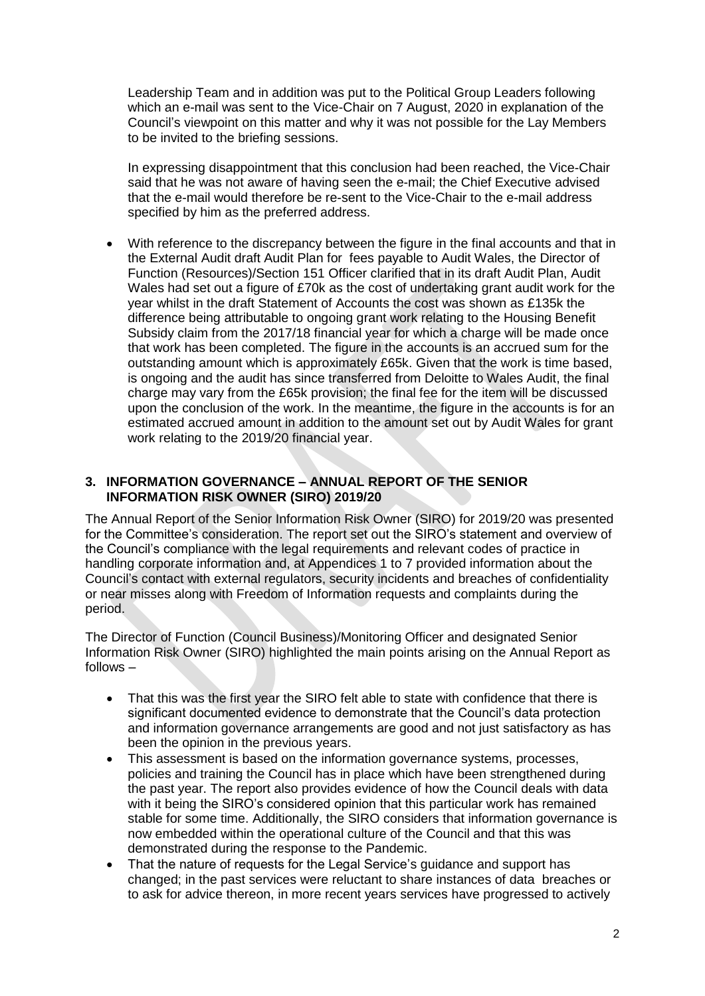Leadership Team and in addition was put to the Political Group Leaders following which an e-mail was sent to the Vice-Chair on 7 August, 2020 in explanation of the Council's viewpoint on this matter and why it was not possible for the Lay Members to be invited to the briefing sessions.

In expressing disappointment that this conclusion had been reached, the Vice-Chair said that he was not aware of having seen the e-mail; the Chief Executive advised that the e-mail would therefore be re-sent to the Vice-Chair to the e-mail address specified by him as the preferred address.

• With reference to the discrepancy between the figure in the final accounts and that in the External Audit draft Audit Plan for fees payable to Audit Wales, the Director of Function (Resources)/Section 151 Officer clarified that in its draft Audit Plan, Audit Wales had set out a figure of £70k as the cost of undertaking grant audit work for the year whilst in the draft Statement of Accounts the cost was shown as £135k the difference being attributable to ongoing grant work relating to the Housing Benefit Subsidy claim from the 2017/18 financial year for which a charge will be made once that work has been completed. The figure in the accounts is an accrued sum for the outstanding amount which is approximately £65k. Given that the work is time based, is ongoing and the audit has since transferred from Deloitte to Wales Audit, the final charge may vary from the £65k provision; the final fee for the item will be discussed upon the conclusion of the work. In the meantime, the figure in the accounts is for an estimated accrued amount in addition to the amount set out by Audit Wales for grant work relating to the 2019/20 financial year.

# **3. INFORMATION GOVERNANCE – ANNUAL REPORT OF THE SENIOR INFORMATION RISK OWNER (SIRO) 2019/20**

The Annual Report of the Senior Information Risk Owner (SIRO) for 2019/20 was presented for the Committee's consideration. The report set out the SIRO's statement and overview of the Council's compliance with the legal requirements and relevant codes of practice in handling corporate information and, at Appendices 1 to 7 provided information about the Council's contact with external regulators, security incidents and breaches of confidentiality or near misses along with Freedom of Information requests and complaints during the period.

The Director of Function (Council Business)/Monitoring Officer and designated Senior Information Risk Owner (SIRO) highlighted the main points arising on the Annual Report as follows –

- That this was the first year the SIRO felt able to state with confidence that there is significant documented evidence to demonstrate that the Council's data protection and information governance arrangements are good and not just satisfactory as has been the opinion in the previous years.
- This assessment is based on the information governance systems, processes, policies and training the Council has in place which have been strengthened during the past year. The report also provides evidence of how the Council deals with data with it being the SIRO's considered opinion that this particular work has remained stable for some time. Additionally, the SIRO considers that information governance is now embedded within the operational culture of the Council and that this was demonstrated during the response to the Pandemic.
- That the nature of requests for the Legal Service's quidance and support has changed; in the past services were reluctant to share instances of data breaches or to ask for advice thereon, in more recent years services have progressed to actively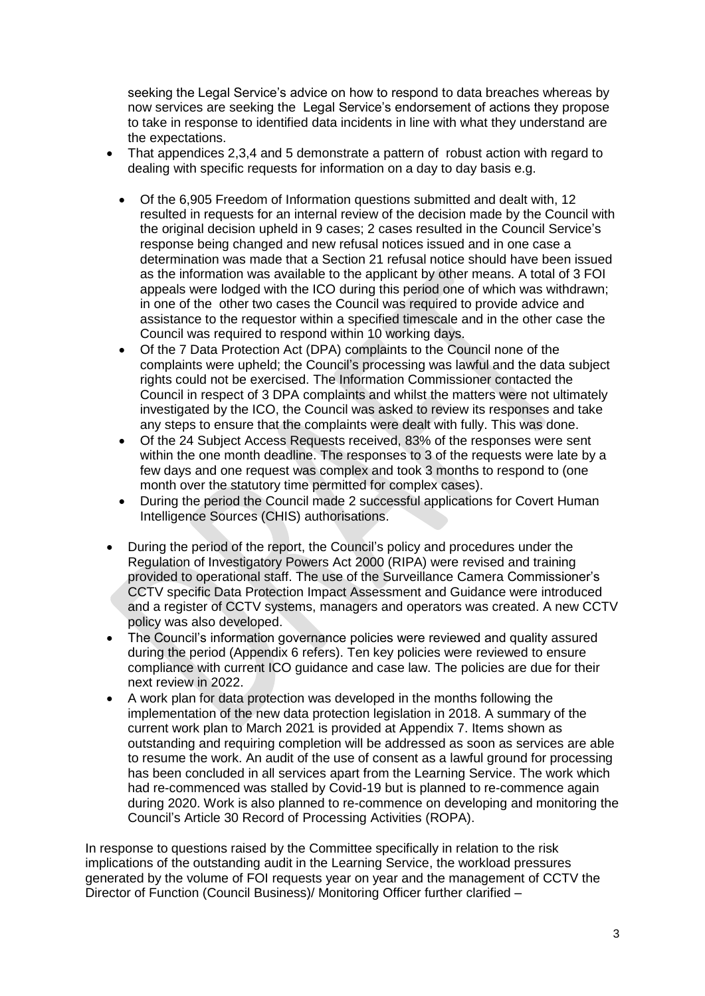seeking the Legal Service's advice on how to respond to data breaches whereas by now services are seeking the Legal Service's endorsement of actions they propose to take in response to identified data incidents in line with what they understand are the expectations.

- That appendices 2,3,4 and 5 demonstrate a pattern of robust action with regard to dealing with specific requests for information on a day to day basis e.g.
	- Of the 6,905 Freedom of Information questions submitted and dealt with, 12 resulted in requests for an internal review of the decision made by the Council with the original decision upheld in 9 cases; 2 cases resulted in the Council Service's response being changed and new refusal notices issued and in one case a determination was made that a Section 21 refusal notice should have been issued as the information was available to the applicant by other means. A total of 3 FOI appeals were lodged with the ICO during this period one of which was withdrawn; in one of the other two cases the Council was required to provide advice and assistance to the requestor within a specified timescale and in the other case the Council was required to respond within 10 working days.
	- Of the 7 Data Protection Act (DPA) complaints to the Council none of the complaints were upheld; the Council's processing was lawful and the data subject rights could not be exercised. The Information Commissioner contacted the Council in respect of 3 DPA complaints and whilst the matters were not ultimately investigated by the ICO, the Council was asked to review its responses and take any steps to ensure that the complaints were dealt with fully. This was done.
	- Of the 24 Subject Access Requests received, 83% of the responses were sent within the one month deadline. The responses to 3 of the requests were late by a few days and one request was complex and took 3 months to respond to (one month over the statutory time permitted for complex cases).
	- During the period the Council made 2 successful applications for Covert Human Intelligence Sources (CHIS) authorisations.
- During the period of the report, the Council's policy and procedures under the Regulation of Investigatory Powers Act 2000 (RIPA) were revised and training provided to operational staff. The use of the Surveillance Camera Commissioner's CCTV specific Data Protection Impact Assessment and Guidance were introduced and a register of CCTV systems, managers and operators was created. A new CCTV policy was also developed.
- The Council's information governance policies were reviewed and quality assured during the period (Appendix 6 refers). Ten key policies were reviewed to ensure compliance with current ICO guidance and case law. The policies are due for their next review in 2022.
- A work plan for data protection was developed in the months following the implementation of the new data protection legislation in 2018. A summary of the current work plan to March 2021 is provided at Appendix 7. Items shown as outstanding and requiring completion will be addressed as soon as services are able to resume the work. An audit of the use of consent as a lawful ground for processing has been concluded in all services apart from the Learning Service. The work which had re-commenced was stalled by Covid-19 but is planned to re-commence again during 2020. Work is also planned to re-commence on developing and monitoring the Council's Article 30 Record of Processing Activities (ROPA).

In response to questions raised by the Committee specifically in relation to the risk implications of the outstanding audit in the Learning Service, the workload pressures generated by the volume of FOI requests year on year and the management of CCTV the Director of Function (Council Business)/ Monitoring Officer further clarified –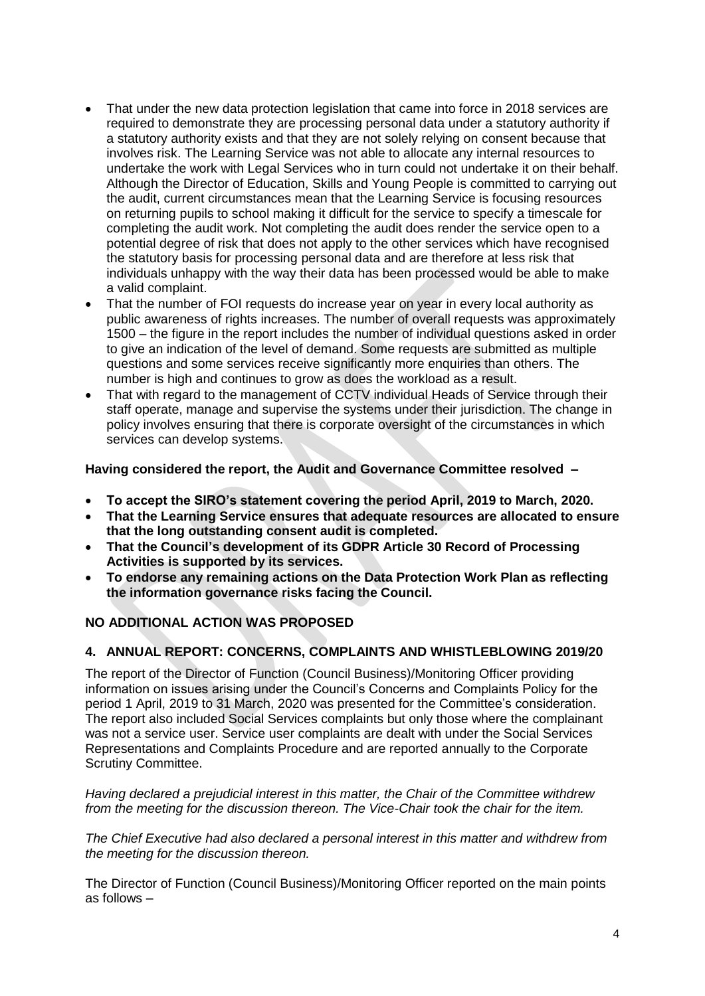- That under the new data protection legislation that came into force in 2018 services are required to demonstrate they are processing personal data under a statutory authority if a statutory authority exists and that they are not solely relying on consent because that involves risk. The Learning Service was not able to allocate any internal resources to undertake the work with Legal Services who in turn could not undertake it on their behalf. Although the Director of Education, Skills and Young People is committed to carrying out the audit, current circumstances mean that the Learning Service is focusing resources on returning pupils to school making it difficult for the service to specify a timescale for completing the audit work. Not completing the audit does render the service open to a potential degree of risk that does not apply to the other services which have recognised the statutory basis for processing personal data and are therefore at less risk that individuals unhappy with the way their data has been processed would be able to make a valid complaint.
- That the number of FOI requests do increase year on year in every local authority as public awareness of rights increases. The number of overall requests was approximately 1500 – the figure in the report includes the number of individual questions asked in order to give an indication of the level of demand. Some requests are submitted as multiple questions and some services receive significantly more enquiries than others. The number is high and continues to grow as does the workload as a result.
- That with regard to the management of CCTV individual Heads of Service through their staff operate, manage and supervise the systems under their jurisdiction. The change in policy involves ensuring that there is corporate oversight of the circumstances in which services can develop systems.

**Having considered the report, the Audit and Governance Committee resolved –**

- **To accept the SIRO's statement covering the period April, 2019 to March, 2020.**
- **That the Learning Service ensures that adequate resources are allocated to ensure that the long outstanding consent audit is completed.**
- **That the Council's development of its GDPR Article 30 Record of Processing Activities is supported by its services.**
- **To endorse any remaining actions on the Data Protection Work Plan as reflecting the information governance risks facing the Council.**

# **NO ADDITIONAL ACTION WAS PROPOSED**

## **4. ANNUAL REPORT: CONCERNS, COMPLAINTS AND WHISTLEBLOWING 2019/20**

The report of the Director of Function (Council Business)/Monitoring Officer providing information on issues arising under the Council's Concerns and Complaints Policy for the period 1 April, 2019 to 31 March, 2020 was presented for the Committee's consideration. The report also included Social Services complaints but only those where the complainant was not a service user. Service user complaints are dealt with under the Social Services Representations and Complaints Procedure and are reported annually to the Corporate Scrutiny Committee.

*Having declared a prejudicial interest in this matter, the Chair of the Committee withdrew from the meeting for the discussion thereon. The Vice-Chair took the chair for the item.*

*The Chief Executive had also declared a personal interest in this matter and withdrew from the meeting for the discussion thereon.*

The Director of Function (Council Business)/Monitoring Officer reported on the main points as follows –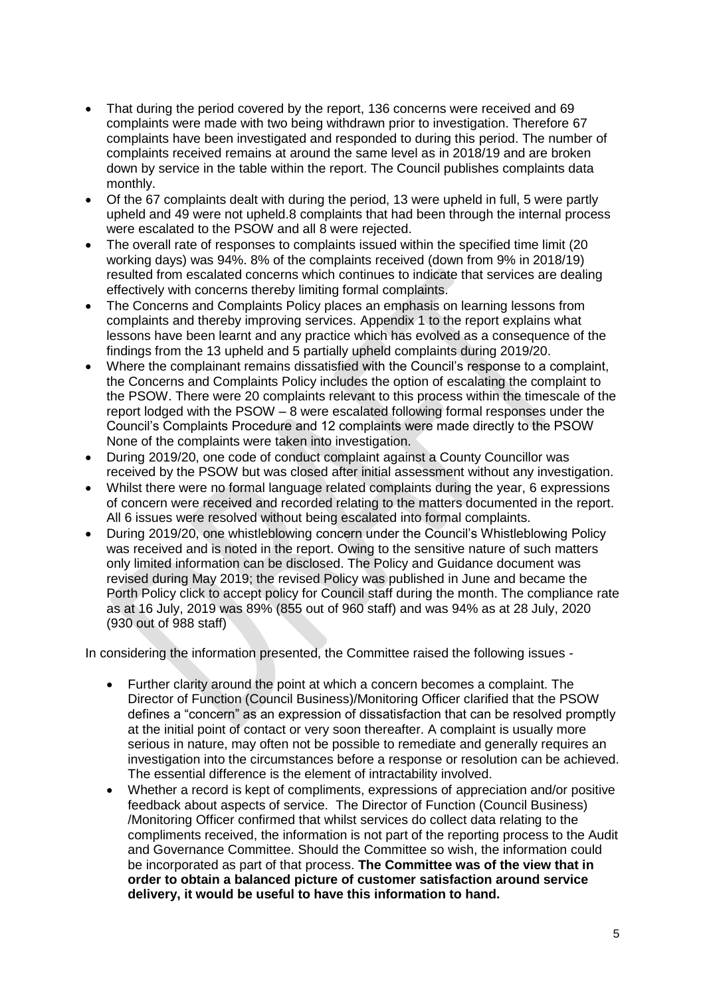- That during the period covered by the report, 136 concerns were received and 69 complaints were made with two being withdrawn prior to investigation. Therefore 67 complaints have been investigated and responded to during this period. The number of complaints received remains at around the same level as in 2018/19 and are broken down by service in the table within the report. The Council publishes complaints data monthly.
- Of the 67 complaints dealt with during the period, 13 were upheld in full, 5 were partly upheld and 49 were not upheld.8 complaints that had been through the internal process were escalated to the PSOW and all 8 were rejected.
- The overall rate of responses to complaints issued within the specified time limit (20 working days) was 94%. 8% of the complaints received (down from 9% in 2018/19) resulted from escalated concerns which continues to indicate that services are dealing effectively with concerns thereby limiting formal complaints.
- The Concerns and Complaints Policy places an emphasis on learning lessons from complaints and thereby improving services. Appendix 1 to the report explains what lessons have been learnt and any practice which has evolved as a consequence of the findings from the 13 upheld and 5 partially upheld complaints during 2019/20.
- Where the complainant remains dissatisfied with the Council's response to a complaint, the Concerns and Complaints Policy includes the option of escalating the complaint to the PSOW. There were 20 complaints relevant to this process within the timescale of the report lodged with the PSOW – 8 were escalated following formal responses under the Council's Complaints Procedure and 12 complaints were made directly to the PSOW None of the complaints were taken into investigation.
- During 2019/20, one code of conduct complaint against a County Councillor was received by the PSOW but was closed after initial assessment without any investigation.
- Whilst there were no formal language related complaints during the year, 6 expressions of concern were received and recorded relating to the matters documented in the report. All 6 issues were resolved without being escalated into formal complaints.
- During 2019/20, one whistleblowing concern under the Council's Whistleblowing Policy was received and is noted in the report. Owing to the sensitive nature of such matters only limited information can be disclosed. The Policy and Guidance document was revised during May 2019; the revised Policy was published in June and became the Porth Policy click to accept policy for Council staff during the month. The compliance rate as at 16 July, 2019 was 89% (855 out of 960 staff) and was 94% as at 28 July, 2020 (930 out of 988 staff)

In considering the information presented, the Committee raised the following issues -

- Further clarity around the point at which a concern becomes a complaint. The Director of Function (Council Business)/Monitoring Officer clarified that the PSOW defines a "concern" as an expression of dissatisfaction that can be resolved promptly at the initial point of contact or very soon thereafter. A complaint is usually more serious in nature, may often not be possible to remediate and generally requires an investigation into the circumstances before a response or resolution can be achieved. The essential difference is the element of intractability involved.
- Whether a record is kept of compliments, expressions of appreciation and/or positive feedback about aspects of service. The Director of Function (Council Business) /Monitoring Officer confirmed that whilst services do collect data relating to the compliments received, the information is not part of the reporting process to the Audit and Governance Committee. Should the Committee so wish, the information could be incorporated as part of that process. **The Committee was of the view that in order to obtain a balanced picture of customer satisfaction around service delivery, it would be useful to have this information to hand.**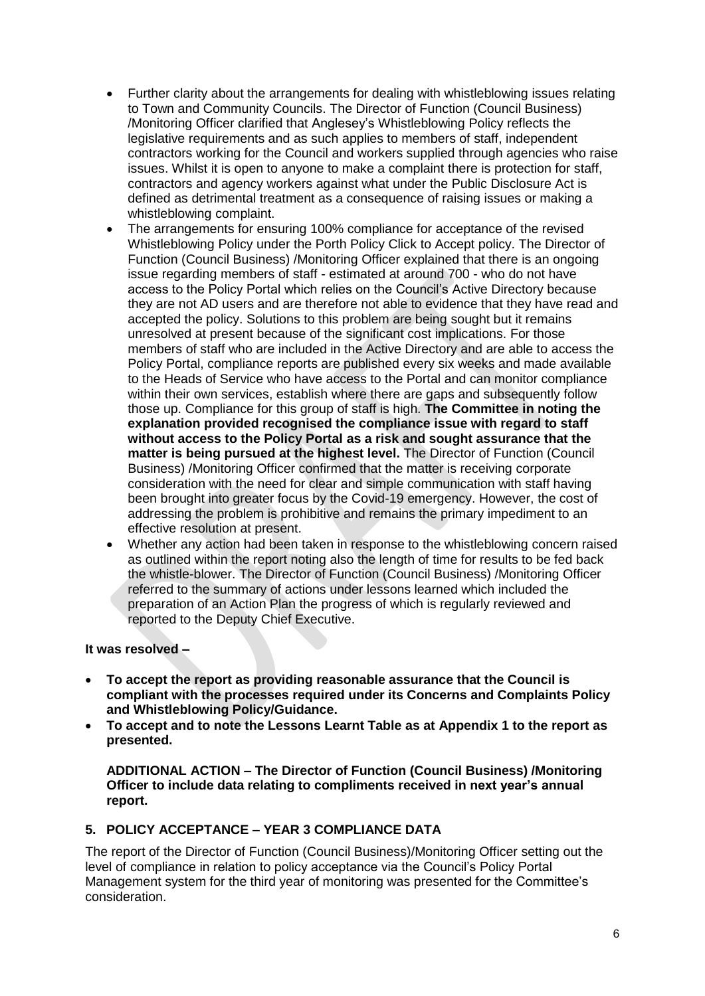- Further clarity about the arrangements for dealing with whistleblowing issues relating to Town and Community Councils. The Director of Function (Council Business) /Monitoring Officer clarified that Anglesey's Whistleblowing Policy reflects the legislative requirements and as such applies to members of staff, independent contractors working for the Council and workers supplied through agencies who raise issues. Whilst it is open to anyone to make a complaint there is protection for staff, contractors and agency workers against what under the Public Disclosure Act is defined as detrimental treatment as a consequence of raising issues or making a whistleblowing complaint.
- The arrangements for ensuring 100% compliance for acceptance of the revised Whistleblowing Policy under the Porth Policy Click to Accept policy. The Director of Function (Council Business) /Monitoring Officer explained that there is an ongoing issue regarding members of staff - estimated at around 700 - who do not have access to the Policy Portal which relies on the Council's Active Directory because they are not AD users and are therefore not able to evidence that they have read and accepted the policy. Solutions to this problem are being sought but it remains unresolved at present because of the significant cost implications. For those members of staff who are included in the Active Directory and are able to access the Policy Portal, compliance reports are published every six weeks and made available to the Heads of Service who have access to the Portal and can monitor compliance within their own services, establish where there are gaps and subsequently follow those up. Compliance for this group of staff is high. **The Committee in noting the explanation provided recognised the compliance issue with regard to staff without access to the Policy Portal as a risk and sought assurance that the matter is being pursued at the highest level.** The Director of Function (Council Business) /Monitoring Officer confirmed that the matter is receiving corporate consideration with the need for clear and simple communication with staff having been brought into greater focus by the Covid-19 emergency. However, the cost of addressing the problem is prohibitive and remains the primary impediment to an effective resolution at present.
- Whether any action had been taken in response to the whistleblowing concern raised as outlined within the report noting also the length of time for results to be fed back the whistle-blower. The Director of Function (Council Business) /Monitoring Officer referred to the summary of actions under lessons learned which included the preparation of an Action Plan the progress of which is regularly reviewed and reported to the Deputy Chief Executive.

**It was resolved –**

- **To accept the report as providing reasonable assurance that the Council is compliant with the processes required under its Concerns and Complaints Policy and Whistleblowing Policy/Guidance.**
- **To accept and to note the Lessons Learnt Table as at Appendix 1 to the report as presented.**

**ADDITIONAL ACTION – The Director of Function (Council Business) /Monitoring Officer to include data relating to compliments received in next year's annual report.**

# **5. POLICY ACCEPTANCE – YEAR 3 COMPLIANCE DATA**

The report of the Director of Function (Council Business)/Monitoring Officer setting out the level of compliance in relation to policy acceptance via the Council's Policy Portal Management system for the third year of monitoring was presented for the Committee's consideration.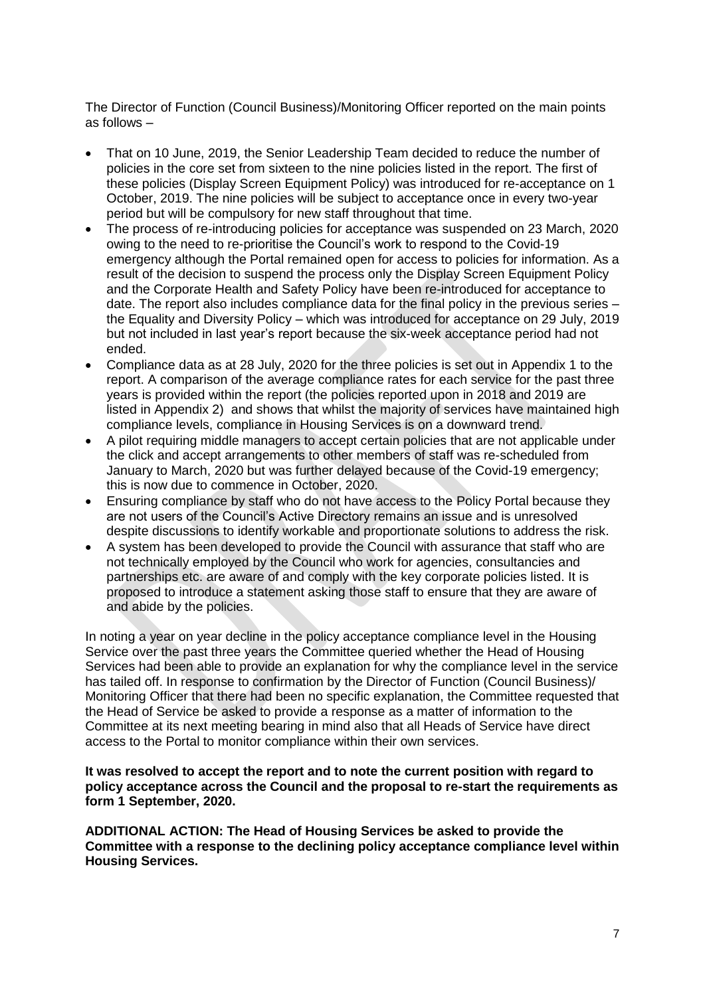The Director of Function (Council Business)/Monitoring Officer reported on the main points as follows –

- That on 10 June, 2019, the Senior Leadership Team decided to reduce the number of policies in the core set from sixteen to the nine policies listed in the report. The first of these policies (Display Screen Equipment Policy) was introduced for re-acceptance on 1 October, 2019. The nine policies will be subject to acceptance once in every two-year period but will be compulsory for new staff throughout that time.
- The process of re-introducing policies for acceptance was suspended on 23 March, 2020 owing to the need to re-prioritise the Council's work to respond to the Covid-19 emergency although the Portal remained open for access to policies for information. As a result of the decision to suspend the process only the Display Screen Equipment Policy and the Corporate Health and Safety Policy have been re-introduced for acceptance to date. The report also includes compliance data for the final policy in the previous series – the Equality and Diversity Policy – which was introduced for acceptance on 29 July, 2019 but not included in last year's report because the six-week acceptance period had not ended.
- Compliance data as at 28 July, 2020 for the three policies is set out in Appendix 1 to the report. A comparison of the average compliance rates for each service for the past three years is provided within the report (the policies reported upon in 2018 and 2019 are listed in Appendix 2) and shows that whilst the majority of services have maintained high compliance levels, compliance in Housing Services is on a downward trend.
- A pilot requiring middle managers to accept certain policies that are not applicable under the click and accept arrangements to other members of staff was re-scheduled from January to March, 2020 but was further delayed because of the Covid-19 emergency; this is now due to commence in October, 2020.
- Ensuring compliance by staff who do not have access to the Policy Portal because they are not users of the Council's Active Directory remains an issue and is unresolved despite discussions to identify workable and proportionate solutions to address the risk.
- A system has been developed to provide the Council with assurance that staff who are not technically employed by the Council who work for agencies, consultancies and partnerships etc. are aware of and comply with the key corporate policies listed. It is proposed to introduce a statement asking those staff to ensure that they are aware of and abide by the policies.

In noting a year on year decline in the policy acceptance compliance level in the Housing Service over the past three years the Committee queried whether the Head of Housing Services had been able to provide an explanation for why the compliance level in the service has tailed off. In response to confirmation by the Director of Function (Council Business)/ Monitoring Officer that there had been no specific explanation, the Committee requested that the Head of Service be asked to provide a response as a matter of information to the Committee at its next meeting bearing in mind also that all Heads of Service have direct access to the Portal to monitor compliance within their own services.

#### **It was resolved to accept the report and to note the current position with regard to policy acceptance across the Council and the proposal to re-start the requirements as form 1 September, 2020.**

**ADDITIONAL ACTION: The Head of Housing Services be asked to provide the Committee with a response to the declining policy acceptance compliance level within Housing Services.**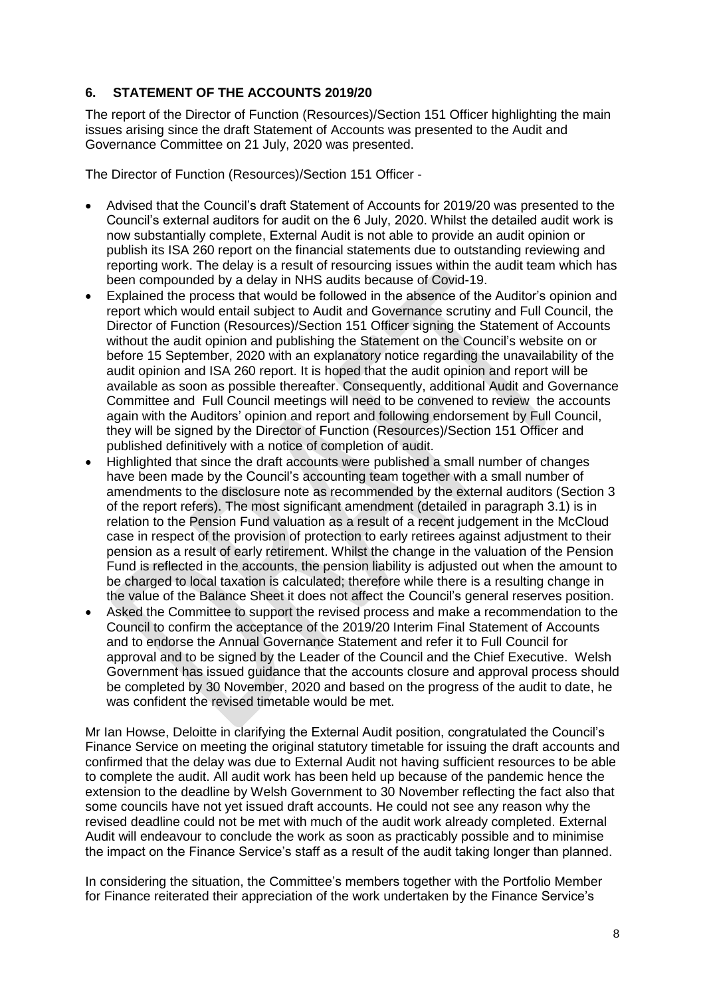# **6. STATEMENT OF THE ACCOUNTS 2019/20**

The report of the Director of Function (Resources)/Section 151 Officer highlighting the main issues arising since the draft Statement of Accounts was presented to the Audit and Governance Committee on 21 July, 2020 was presented.

The Director of Function (Resources)/Section 151 Officer -

- Advised that the Council's draft Statement of Accounts for 2019/20 was presented to the Council's external auditors for audit on the 6 July, 2020. Whilst the detailed audit work is now substantially complete, External Audit is not able to provide an audit opinion or publish its ISA 260 report on the financial statements due to outstanding reviewing and reporting work. The delay is a result of resourcing issues within the audit team which has been compounded by a delay in NHS audits because of Covid-19.
- Explained the process that would be followed in the absence of the Auditor's opinion and report which would entail subject to Audit and Governance scrutiny and Full Council, the Director of Function (Resources)/Section 151 Officer signing the Statement of Accounts without the audit opinion and publishing the Statement on the Council's website on or before 15 September, 2020 with an explanatory notice regarding the unavailability of the audit opinion and ISA 260 report. It is hoped that the audit opinion and report will be available as soon as possible thereafter. Consequently, additional Audit and Governance Committee and Full Council meetings will need to be convened to review the accounts again with the Auditors' opinion and report and following endorsement by Full Council, they will be signed by the Director of Function (Resources)/Section 151 Officer and published definitively with a notice of completion of audit.
- Highlighted that since the draft accounts were published a small number of changes have been made by the Council's accounting team together with a small number of amendments to the disclosure note as recommended by the external auditors (Section 3 of the report refers). The most significant amendment (detailed in paragraph 3.1) is in relation to the Pension Fund valuation as a result of a recent judgement in the McCloud case in respect of the provision of protection to early retirees against adjustment to their pension as a result of early retirement. Whilst the change in the valuation of the Pension Fund is reflected in the accounts, the pension liability is adjusted out when the amount to be charged to local taxation is calculated; therefore while there is a resulting change in the value of the Balance Sheet it does not affect the Council's general reserves position.
- Asked the Committee to support the revised process and make a recommendation to the Council to confirm the acceptance of the 2019/20 Interim Final Statement of Accounts and to endorse the Annual Governance Statement and refer it to Full Council for approval and to be signed by the Leader of the Council and the Chief Executive. Welsh Government has issued guidance that the accounts closure and approval process should be completed by 30 November, 2020 and based on the progress of the audit to date, he was confident the revised timetable would be met.

Mr Ian Howse, Deloitte in clarifying the External Audit position, congratulated the Council's Finance Service on meeting the original statutory timetable for issuing the draft accounts and confirmed that the delay was due to External Audit not having sufficient resources to be able to complete the audit. All audit work has been held up because of the pandemic hence the extension to the deadline by Welsh Government to 30 November reflecting the fact also that some councils have not yet issued draft accounts. He could not see any reason why the revised deadline could not be met with much of the audit work already completed. External Audit will endeavour to conclude the work as soon as practicably possible and to minimise the impact on the Finance Service's staff as a result of the audit taking longer than planned.

In considering the situation, the Committee's members together with the Portfolio Member for Finance reiterated their appreciation of the work undertaken by the Finance Service's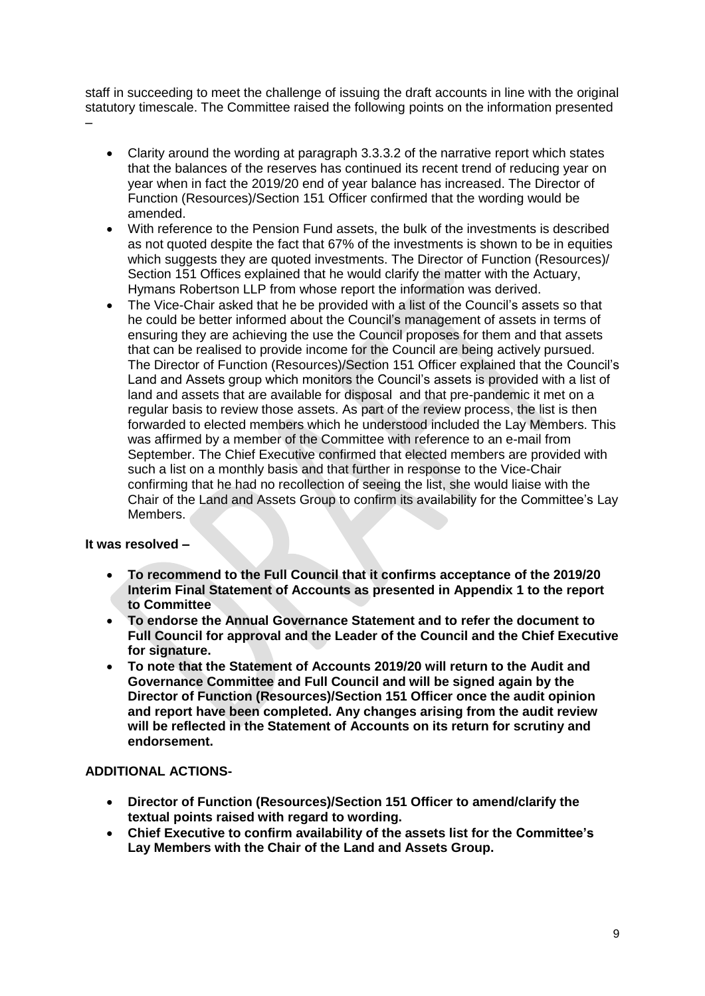staff in succeeding to meet the challenge of issuing the draft accounts in line with the original statutory timescale. The Committee raised the following points on the information presented –

- Clarity around the wording at paragraph 3.3.3.2 of the narrative report which states that the balances of the reserves has continued its recent trend of reducing year on year when in fact the 2019/20 end of year balance has increased. The Director of Function (Resources)/Section 151 Officer confirmed that the wording would be amended.
- With reference to the Pension Fund assets, the bulk of the investments is described as not quoted despite the fact that 67% of the investments is shown to be in equities which suggests they are quoted investments. The Director of Function (Resources)/ Section 151 Offices explained that he would clarify the matter with the Actuary, Hymans Robertson LLP from whose report the information was derived.
- The Vice-Chair asked that he be provided with a list of the Council's assets so that he could be better informed about the Council's management of assets in terms of ensuring they are achieving the use the Council proposes for them and that assets that can be realised to provide income for the Council are being actively pursued. The Director of Function (Resources)/Section 151 Officer explained that the Council's Land and Assets group which monitors the Council's assets is provided with a list of land and assets that are available for disposal and that pre-pandemic it met on a regular basis to review those assets. As part of the review process, the list is then forwarded to elected members which he understood included the Lay Members. This was affirmed by a member of the Committee with reference to an e-mail from September. The Chief Executive confirmed that elected members are provided with such a list on a monthly basis and that further in response to the Vice-Chair confirming that he had no recollection of seeing the list, she would liaise with the Chair of the Land and Assets Group to confirm its availability for the Committee's Lay Members.

**It was resolved –**

- **To recommend to the Full Council that it confirms acceptance of the 2019/20 Interim Final Statement of Accounts as presented in Appendix 1 to the report to Committee**
- **To endorse the Annual Governance Statement and to refer the document to Full Council for approval and the Leader of the Council and the Chief Executive for signature.**
- **To note that the Statement of Accounts 2019/20 will return to the Audit and Governance Committee and Full Council and will be signed again by the Director of Function (Resources)/Section 151 Officer once the audit opinion and report have been completed. Any changes arising from the audit review will be reflected in the Statement of Accounts on its return for scrutiny and endorsement.**

# **ADDITIONAL ACTIONS-**

- **Director of Function (Resources)/Section 151 Officer to amend/clarify the textual points raised with regard to wording.**
- **Chief Executive to confirm availability of the assets list for the Committee's Lay Members with the Chair of the Land and Assets Group.**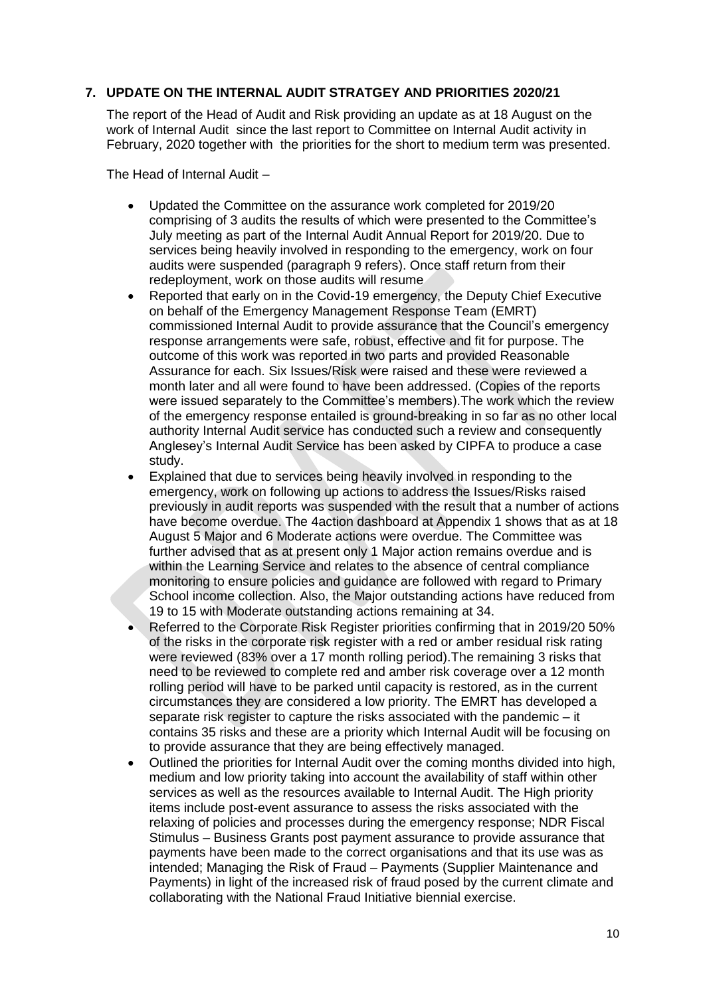# **7. UPDATE ON THE INTERNAL AUDIT STRATGEY AND PRIORITIES 2020/21**

The report of the Head of Audit and Risk providing an update as at 18 August on the work of Internal Audit since the last report to Committee on Internal Audit activity in February, 2020 together with the priorities for the short to medium term was presented.

The Head of Internal Audit –

- Updated the Committee on the assurance work completed for 2019/20 comprising of 3 audits the results of which were presented to the Committee's July meeting as part of the Internal Audit Annual Report for 2019/20. Due to services being heavily involved in responding to the emergency, work on four audits were suspended (paragraph 9 refers). Once staff return from their redeployment, work on those audits will resume
- Reported that early on in the Covid-19 emergency, the Deputy Chief Executive on behalf of the Emergency Management Response Team (EMRT) commissioned Internal Audit to provide assurance that the Council's emergency response arrangements were safe, robust, effective and fit for purpose. The outcome of this work was reported in two parts and provided Reasonable Assurance for each. Six Issues/Risk were raised and these were reviewed a month later and all were found to have been addressed. (Copies of the reports were issued separately to the Committee's members).The work which the review of the emergency response entailed is ground-breaking in so far as no other local authority Internal Audit service has conducted such a review and consequently Anglesey's Internal Audit Service has been asked by CIPFA to produce a case study.
- Explained that due to services being heavily involved in responding to the emergency, work on following up actions to address the Issues/Risks raised previously in audit reports was suspended with the result that a number of actions have become overdue. The 4action dashboard at Appendix 1 shows that as at 18 August 5 Major and 6 Moderate actions were overdue. The Committee was further advised that as at present only 1 Major action remains overdue and is within the Learning Service and relates to the absence of central compliance monitoring to ensure policies and guidance are followed with regard to Primary School income collection. Also, the Major outstanding actions have reduced from 19 to 15 with Moderate outstanding actions remaining at 34.
- Referred to the Corporate Risk Register priorities confirming that in 2019/20 50% of the risks in the corporate risk register with a red or amber residual risk rating were reviewed (83% over a 17 month rolling period).The remaining 3 risks that need to be reviewed to complete red and amber risk coverage over a 12 month rolling period will have to be parked until capacity is restored, as in the current circumstances they are considered a low priority. The EMRT has developed a separate risk register to capture the risks associated with the pandemic – it contains 35 risks and these are a priority which Internal Audit will be focusing on to provide assurance that they are being effectively managed.
- Outlined the priorities for Internal Audit over the coming months divided into high, medium and low priority taking into account the availability of staff within other services as well as the resources available to Internal Audit. The High priority items include post-event assurance to assess the risks associated with the relaxing of policies and processes during the emergency response; NDR Fiscal Stimulus – Business Grants post payment assurance to provide assurance that payments have been made to the correct organisations and that its use was as intended; Managing the Risk of Fraud – Payments (Supplier Maintenance and Payments) in light of the increased risk of fraud posed by the current climate and collaborating with the National Fraud Initiative biennial exercise.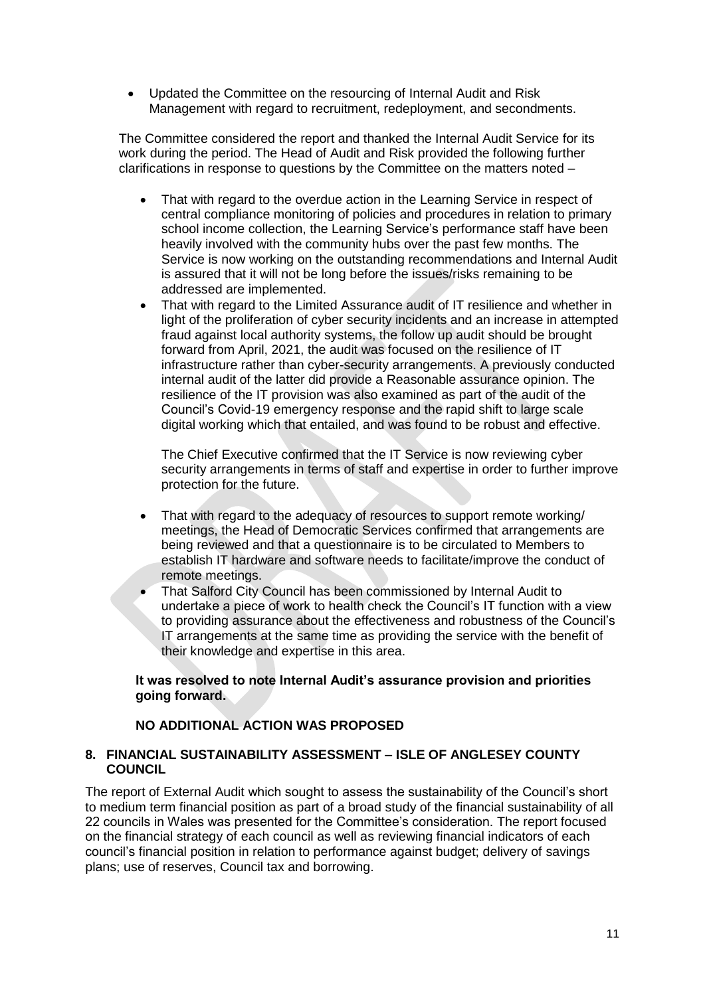Updated the Committee on the resourcing of Internal Audit and Risk Management with regard to recruitment, redeployment, and secondments.

The Committee considered the report and thanked the Internal Audit Service for its work during the period. The Head of Audit and Risk provided the following further clarifications in response to questions by the Committee on the matters noted –

- That with regard to the overdue action in the Learning Service in respect of central compliance monitoring of policies and procedures in relation to primary school income collection, the Learning Service's performance staff have been heavily involved with the community hubs over the past few months. The Service is now working on the outstanding recommendations and Internal Audit is assured that it will not be long before the issues/risks remaining to be addressed are implemented.
- That with regard to the Limited Assurance audit of IT resilience and whether in light of the proliferation of cyber security incidents and an increase in attempted fraud against local authority systems, the follow up audit should be brought forward from April, 2021, the audit was focused on the resilience of IT infrastructure rather than cyber-security arrangements. A previously conducted internal audit of the latter did provide a Reasonable assurance opinion. The resilience of the IT provision was also examined as part of the audit of the Council's Covid-19 emergency response and the rapid shift to large scale digital working which that entailed, and was found to be robust and effective.

The Chief Executive confirmed that the IT Service is now reviewing cyber security arrangements in terms of staff and expertise in order to further improve protection for the future.

- That with regard to the adequacy of resources to support remote working/ meetings, the Head of Democratic Services confirmed that arrangements are being reviewed and that a questionnaire is to be circulated to Members to establish IT hardware and software needs to facilitate/improve the conduct of remote meetings.
- That Salford City Council has been commissioned by Internal Audit to undertake a piece of work to health check the Council's IT function with a view to providing assurance about the effectiveness and robustness of the Council's IT arrangements at the same time as providing the service with the benefit of their knowledge and expertise in this area.

#### **It was resolved to note Internal Audit's assurance provision and priorities going forward.**

# **NO ADDITIONAL ACTION WAS PROPOSED**

## **8. FINANCIAL SUSTAINABILITY ASSESSMENT – ISLE OF ANGLESEY COUNTY COUNCIL**

The report of External Audit which sought to assess the sustainability of the Council's short to medium term financial position as part of a broad study of the financial sustainability of all 22 councils in Wales was presented for the Committee's consideration. The report focused on the financial strategy of each council as well as reviewing financial indicators of each council's financial position in relation to performance against budget; delivery of savings plans; use of reserves, Council tax and borrowing.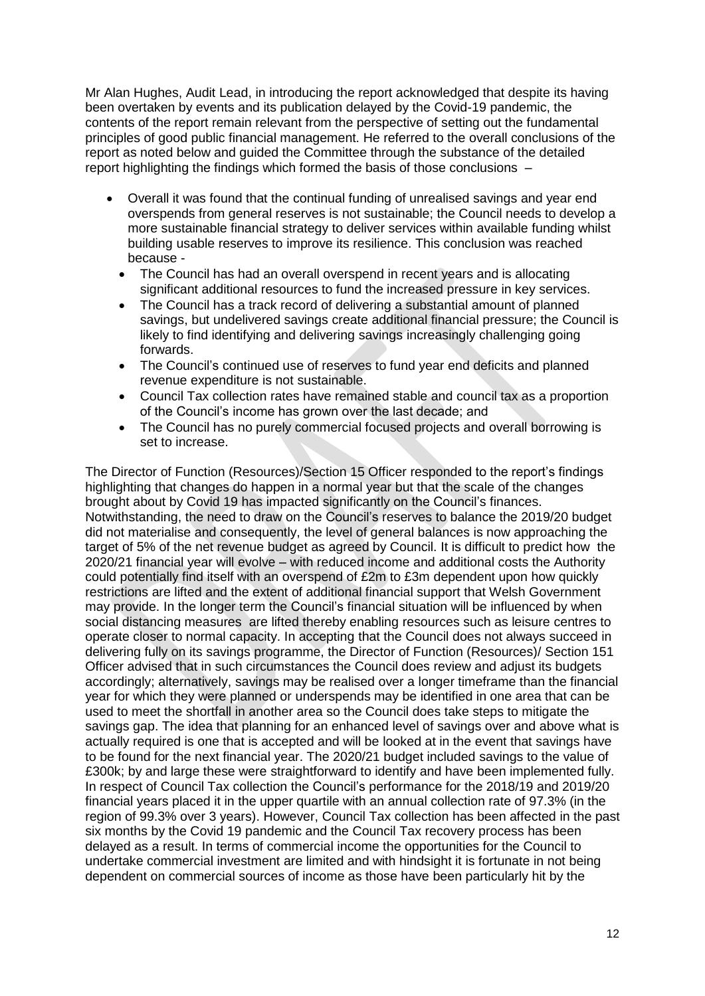Mr Alan Hughes, Audit Lead, in introducing the report acknowledged that despite its having been overtaken by events and its publication delayed by the Covid-19 pandemic, the contents of the report remain relevant from the perspective of setting out the fundamental principles of good public financial management. He referred to the overall conclusions of the report as noted below and guided the Committee through the substance of the detailed report highlighting the findings which formed the basis of those conclusions –

- Overall it was found that the continual funding of unrealised savings and year end overspends from general reserves is not sustainable; the Council needs to develop a more sustainable financial strategy to deliver services within available funding whilst building usable reserves to improve its resilience. This conclusion was reached because -
	- The Council has had an overall overspend in recent years and is allocating significant additional resources to fund the increased pressure in key services.
	- The Council has a track record of delivering a substantial amount of planned savings, but undelivered savings create additional financial pressure; the Council is likely to find identifying and delivering savings increasingly challenging going forwards.
	- The Council's continued use of reserves to fund year end deficits and planned revenue expenditure is not sustainable.
	- Council Tax collection rates have remained stable and council tax as a proportion of the Council's income has grown over the last decade; and
	- The Council has no purely commercial focused projects and overall borrowing is set to increase.

The Director of Function (Resources)/Section 15 Officer responded to the report's findings highlighting that changes do happen in a normal year but that the scale of the changes brought about by Covid 19 has impacted significantly on the Council's finances. Notwithstanding, the need to draw on the Council's reserves to balance the 2019/20 budget did not materialise and consequently, the level of general balances is now approaching the target of 5% of the net revenue budget as agreed by Council. It is difficult to predict how the 2020/21 financial year will evolve – with reduced income and additional costs the Authority could potentially find itself with an overspend of £2m to £3m dependent upon how quickly restrictions are lifted and the extent of additional financial support that Welsh Government may provide. In the longer term the Council's financial situation will be influenced by when social distancing measures are lifted thereby enabling resources such as leisure centres to operate closer to normal capacity. In accepting that the Council does not always succeed in delivering fully on its savings programme, the Director of Function (Resources)/ Section 151 Officer advised that in such circumstances the Council does review and adjust its budgets accordingly; alternatively, savings may be realised over a longer timeframe than the financial year for which they were planned or underspends may be identified in one area that can be used to meet the shortfall in another area so the Council does take steps to mitigate the savings gap. The idea that planning for an enhanced level of savings over and above what is actually required is one that is accepted and will be looked at in the event that savings have to be found for the next financial year. The 2020/21 budget included savings to the value of £300k; by and large these were straightforward to identify and have been implemented fully. In respect of Council Tax collection the Council's performance for the 2018/19 and 2019/20 financial years placed it in the upper quartile with an annual collection rate of 97.3% (in the region of 99.3% over 3 years). However, Council Tax collection has been affected in the past six months by the Covid 19 pandemic and the Council Tax recovery process has been delayed as a result. In terms of commercial income the opportunities for the Council to undertake commercial investment are limited and with hindsight it is fortunate in not being dependent on commercial sources of income as those have been particularly hit by the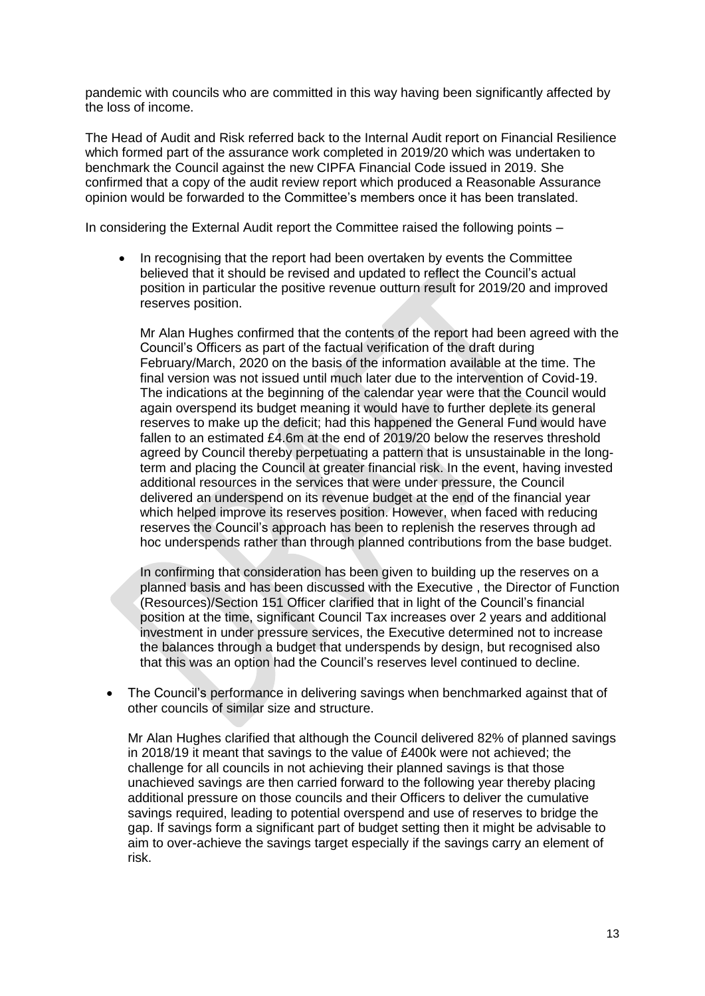pandemic with councils who are committed in this way having been significantly affected by the loss of income.

The Head of Audit and Risk referred back to the Internal Audit report on Financial Resilience which formed part of the assurance work completed in 2019/20 which was undertaken to benchmark the Council against the new CIPFA Financial Code issued in 2019. She confirmed that a copy of the audit review report which produced a Reasonable Assurance opinion would be forwarded to the Committee's members once it has been translated.

In considering the External Audit report the Committee raised the following points –

 In recognising that the report had been overtaken by events the Committee believed that it should be revised and updated to reflect the Council's actual position in particular the positive revenue outturn result for 2019/20 and improved reserves position.

Mr Alan Hughes confirmed that the contents of the report had been agreed with the Council's Officers as part of the factual verification of the draft during February/March, 2020 on the basis of the information available at the time. The final version was not issued until much later due to the intervention of Covid-19. The indications at the beginning of the calendar year were that the Council would again overspend its budget meaning it would have to further deplete its general reserves to make up the deficit; had this happened the General Fund would have fallen to an estimated £4.6m at the end of 2019/20 below the reserves threshold agreed by Council thereby perpetuating a pattern that is unsustainable in the longterm and placing the Council at greater financial risk. In the event, having invested additional resources in the services that were under pressure, the Council delivered an underspend on its revenue budget at the end of the financial year which helped improve its reserves position. However, when faced with reducing reserves the Council's approach has been to replenish the reserves through ad hoc underspends rather than through planned contributions from the base budget.

In confirming that consideration has been given to building up the reserves on a planned basis and has been discussed with the Executive , the Director of Function (Resources)/Section 151 Officer clarified that in light of the Council's financial position at the time, significant Council Tax increases over 2 years and additional investment in under pressure services, the Executive determined not to increase the balances through a budget that underspends by design, but recognised also that this was an option had the Council's reserves level continued to decline.

• The Council's performance in delivering savings when benchmarked against that of other councils of similar size and structure.

Mr Alan Hughes clarified that although the Council delivered 82% of planned savings in 2018/19 it meant that savings to the value of £400k were not achieved; the challenge for all councils in not achieving their planned savings is that those unachieved savings are then carried forward to the following year thereby placing additional pressure on those councils and their Officers to deliver the cumulative savings required, leading to potential overspend and use of reserves to bridge the gap. If savings form a significant part of budget setting then it might be advisable to aim to over-achieve the savings target especially if the savings carry an element of risk.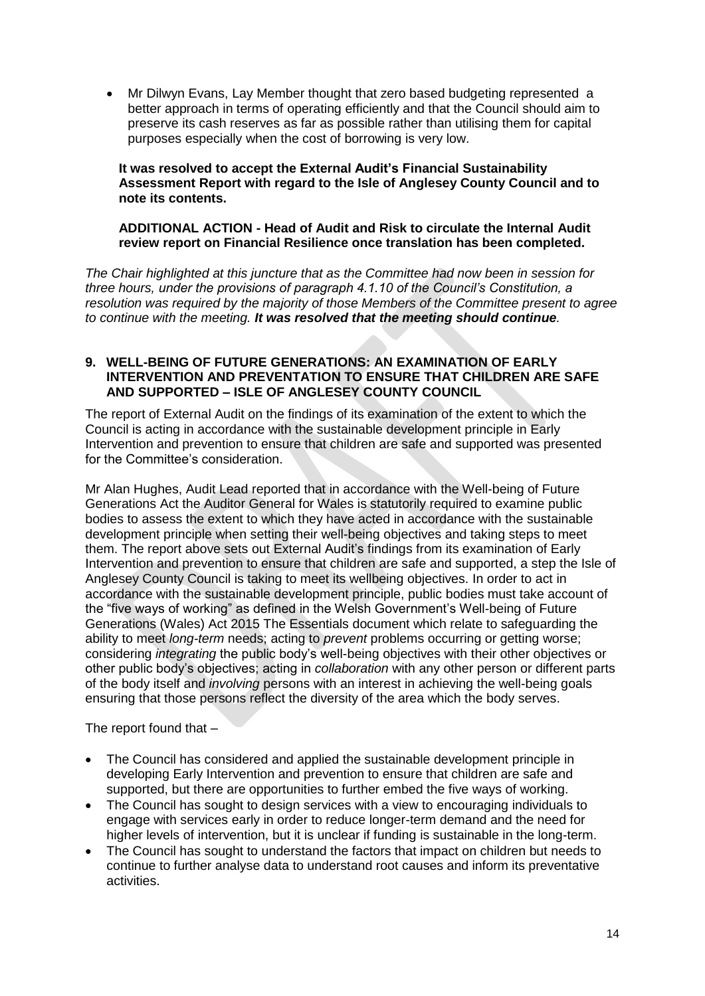Mr Dilwyn Evans, Lay Member thought that zero based budgeting represented a better approach in terms of operating efficiently and that the Council should aim to preserve its cash reserves as far as possible rather than utilising them for capital purposes especially when the cost of borrowing is very low.

**It was resolved to accept the External Audit's Financial Sustainability Assessment Report with regard to the Isle of Anglesey County Council and to note its contents.** 

# **ADDITIONAL ACTION - Head of Audit and Risk to circulate the Internal Audit review report on Financial Resilience once translation has been completed.**

*The Chair highlighted at this juncture that as the Committee had now been in session for three hours, under the provisions of paragraph 4.1.10 of the Council's Constitution, a resolution was required by the majority of those Members of the Committee present to agree to continue with the meeting. It was resolved that the meeting should continue.*

#### **9. WELL-BEING OF FUTURE GENERATIONS: AN EXAMINATION OF EARLY INTERVENTION AND PREVENTATION TO ENSURE THAT CHILDREN ARE SAFE AND SUPPORTED – ISLE OF ANGLESEY COUNTY COUNCIL**

The report of External Audit on the findings of its examination of the extent to which the Council is acting in accordance with the sustainable development principle in Early Intervention and prevention to ensure that children are safe and supported was presented for the Committee's consideration.

Mr Alan Hughes, Audit Lead reported that in accordance with the Well-being of Future Generations Act the Auditor General for Wales is statutorily required to examine public bodies to assess the extent to which they have acted in accordance with the sustainable development principle when setting their well-being objectives and taking steps to meet them. The report above sets out External Audit's findings from its examination of Early Intervention and prevention to ensure that children are safe and supported, a step the Isle of Anglesey County Council is taking to meet its wellbeing objectives. In order to act in accordance with the sustainable development principle, public bodies must take account of the "five ways of working" as defined in the Welsh Government's Well-being of Future Generations (Wales) Act 2015 The Essentials document which relate to safeguarding the ability to meet *long-term* needs; acting to *prevent* problems occurring or getting worse; considering *integrating* the public body's well-being objectives with their other objectives or other public body's objectives; acting in *collaboration* with any other person or different parts of the body itself and *involving* persons with an interest in achieving the well-being goals ensuring that those persons reflect the diversity of the area which the body serves.

The report found that –

- The Council has considered and applied the sustainable development principle in developing Early Intervention and prevention to ensure that children are safe and supported, but there are opportunities to further embed the five ways of working.
- The Council has sought to design services with a view to encouraging individuals to engage with services early in order to reduce longer-term demand and the need for higher levels of intervention, but it is unclear if funding is sustainable in the long-term.
- The Council has sought to understand the factors that impact on children but needs to continue to further analyse data to understand root causes and inform its preventative activities.